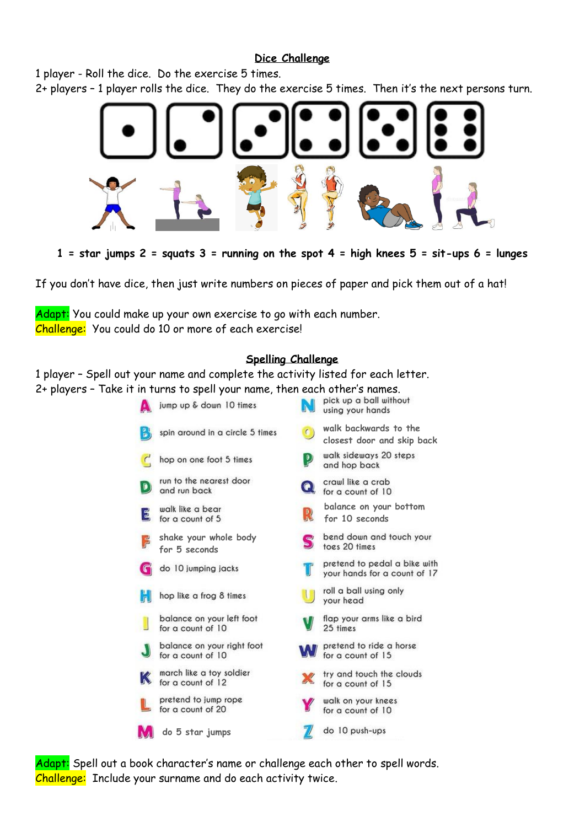#### **Dice Challenge**

1 player - Roll the dice. Do the exercise 5 times.

2+ players – 1 player rolls the dice. They do the exercise 5 times. Then it's the next persons turn.



**1 = star jumps 2 = squats 3 = running on the spot 4 = high knees 5 = sit-ups 6 = lunges**

If you don't have dice, then just write numbers on pieces of paper and pick them out of a hat!

Adapt: You could make up your own exercise to go with each number. Challenge: You could do 10 or more of each exercise!

### **Spelling Challenge**

1 player – Spell out your name and complete the activity listed for each letter. 2+ players – Take it in turns to spell your name, then each other's names.

|               | jump up & down 10 times                         |                | pick up a ball without<br>using your hands                   |
|---------------|-------------------------------------------------|----------------|--------------------------------------------------------------|
| e.            | spin around in a circle 5 times                 | $\epsilon$     | walk backwards to the<br>closest door and skip back          |
| $\mathcal{C}$ | hop on one foot 5 times                         | $\overline{P}$ | walk sideways 20 steps<br>and hop back                       |
| D             | run to the nearest door<br>and run back         |                | crawl like a crab<br>for a count of 10                       |
| 3             | walk like a bear<br>for a count of 5            | R              | balance on your bottom<br>for 10 seconds                     |
| 넎             | shake your whole body<br>for 5 seconds          | S              | bend down and touch your<br>toes 20 times                    |
| С             | do 10 jumping jacks                             |                | pretend to pedal a bike with<br>your hands for a count of 17 |
|               | hop like a frog 8 times                         |                | roll a ball using only<br>your head                          |
|               | balance on your left foot<br>for a count of 10  |                | flap your arms like a bird<br>25 times                       |
|               | balance on your right foot<br>for a count of 10 |                | pretend to ride a horse<br>for a count of 15                 |
|               | march like a toy soldier<br>for a count of 12   |                | try and touch the clouds<br>for a count of 15                |
|               | pretend to jump rope<br>for a count of 20       |                | walk on your knees<br>for a count of 10                      |
|               | do 5 star jumps                                 |                | do 10 push-ups                                               |

Adapt: Spell out a book character's name or challenge each other to spell words. Challenge: Include your surname and do each activity twice.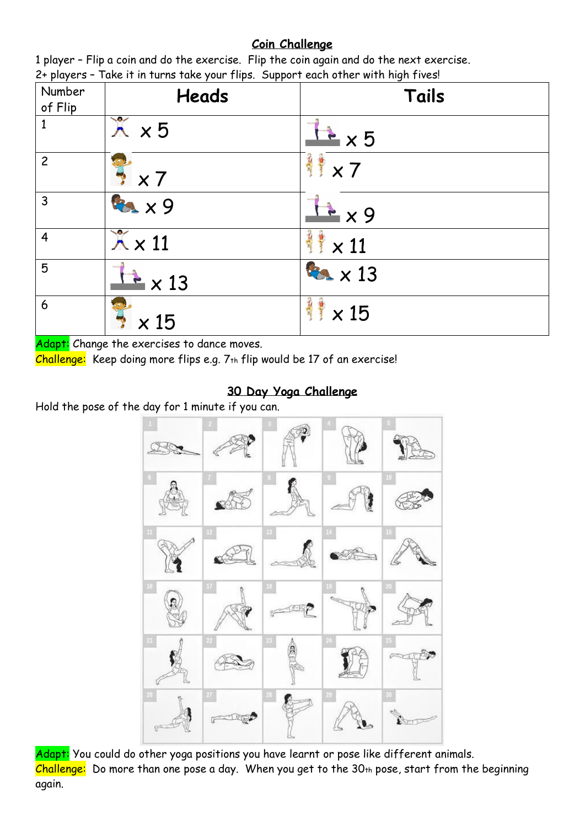## **Coin Challenge**

| P(x)<br>Number<br>of Flip | $\frac{1}{2}$ and $\frac{1}{2}$ and $\frac{1}{2}$ and $\frac{1}{2}$ are $\frac{1}{2}$ . These supports such states with $\frac{1}{2}$ and $\frac{1}{2}$ are $\frac{1}{2}$ .<br><b>Heads</b> | Tails                  |
|---------------------------|---------------------------------------------------------------------------------------------------------------------------------------------------------------------------------------------|------------------------|
| $\mathbf{1}$              | $\lambda$ $\times$ 5                                                                                                                                                                        | $\frac{1}{2} \times 5$ |
| $\overline{c}$            | $\times 7$                                                                                                                                                                                  | 鲜×7                    |
| 3                         | <b>BAX9</b>                                                                                                                                                                                 | x9                     |
| $\overline{4}$            | $\chi \times 11$                                                                                                                                                                            | $\times$ 11            |
| 5                         | $\geq$ $\times$ 13                                                                                                                                                                          | <b>Box x 13</b>        |
| 6                         | 15                                                                                                                                                                                          | 三、<br>$\times$ 15      |

1 player – Flip a coin and do the exercise. Flip the coin again and do the next exercise. 2+ players – Take it in turns take your flips. Support each other with high fives!

Adapt: Change the exercises to dance moves.

Challenge: Keep doing more flips e.g.  $7<sub>th</sub>$  flip would be 17 of an exercise!

# **30 Day Yoga Challenge**

Hold the pose of the day for 1 minute if you can.



Adapt: You could do other yoga positions you have learnt or pose like different animals. Challenge: Do more than one pose a day. When you get to the 30th pose, start from the beginning again.